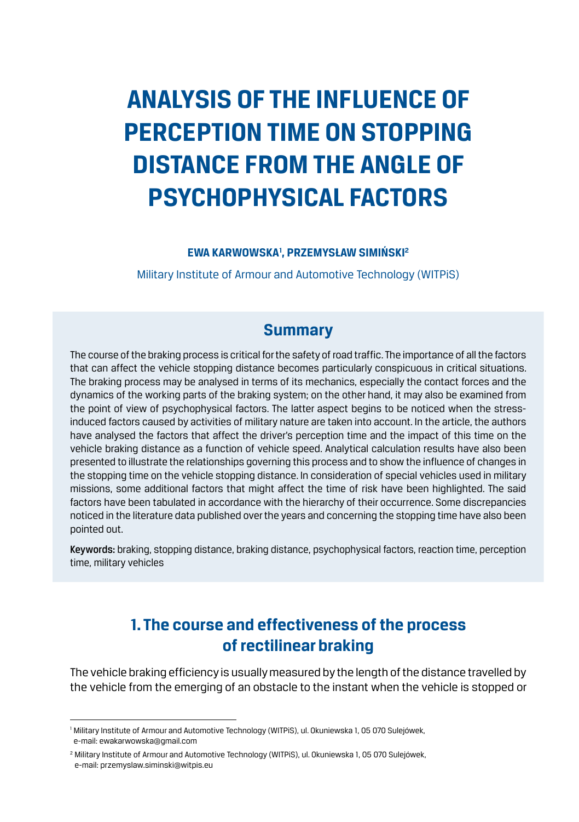# **Analysis of the influence of perception time on stopping distance from the angle of psychophysical factors**

#### **EWA KARWOWSKA1 , PRZEMYSŁAW SIMIŃSKI 2**

Military Institute of Armour and Automotive Technology (WITPiS)

### **Summary**

The course of the braking process is critical for the safety of road traffic. The importance of all the factors that can affect the vehicle stopping distance becomes particularly conspicuous in critical situations. The braking process may be analysed in terms of its mechanics, especially the contact forces and the dynamics of the working parts of the braking system; on the other hand, it may also be examined from the point of view of psychophysical factors. The latter aspect begins to be noticed when the stressinduced factors caused by activities of military nature are taken into account. In the article, the authors have analysed the factors that affect the driver's perception time and the impact of this time on the vehicle braking distance as a function of vehicle speed. Analytical calculation results have also been presented to illustrate the relationships governing this process and to show the influence of changes in the stopping time on the vehicle stopping distance. In consideration of special vehicles used in military missions, some additional factors that might affect the time of risk have been highlighted. The said factors have been tabulated in accordance with the hierarchy of their occurrence. Some discrepancies noticed in the literature data published over the years and concerning the stopping time have also been pointed out.

Keywords: braking, stopping distance, braking distance, psychophysical factors, reaction time, perception time, military vehicles

# **1. The course and effectiveness of the process of rectilinear braking**

The vehicle braking efficiency is usually measured by the length of the distance travelled by the vehicle from the emerging of an obstacle to the instant when the vehicle is stopped or

<sup>1</sup> Military Institute of Armour and Automotive Technology (WITPiS), ul. Okuniewska 1, 05 070 Sulejówek, e-mail: ewakarwowska@gmail.com

<sup>&</sup>lt;sup>2</sup> Military Institute of Armour and Automotive Technology (WITPiS), ul. Okuniewska 1, 05 070 Sulejówek, e-mail: przemyslaw.siminski@witpis.eu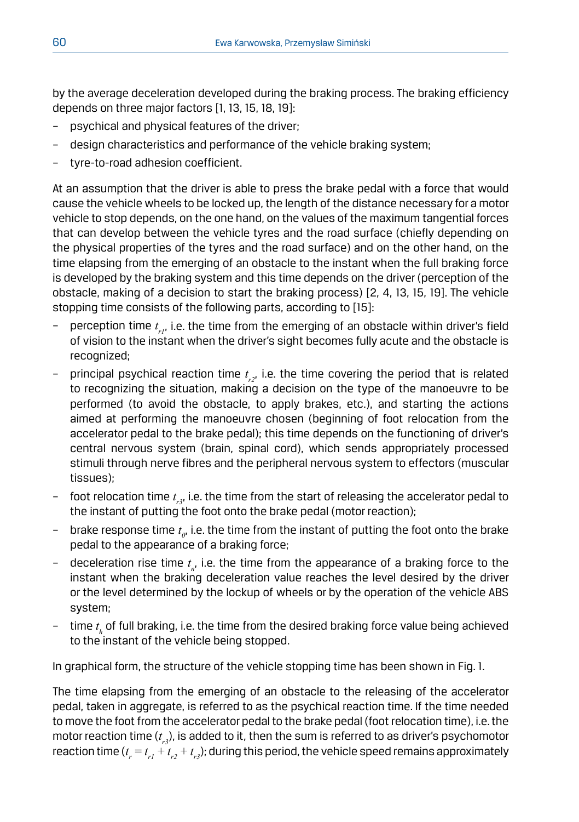by the average deceleration developed during the braking process. The braking efficiency depends on three major factors [1, 13, 15, 18, 19]:

- psychical and physical features of the driver;
- design characteristics and performance of the vehicle braking system;
- tyre-to-road adhesion coefficient.

At an assumption that the driver is able to press the brake pedal with a force that would cause the vehicle wheels to be locked up, the length of the distance necessary for a motor vehicle to stop depends, on the one hand, on the values of the maximum tangential forces that can develop between the vehicle tyres and the road surface (chiefly depending on the physical properties of the tyres and the road surface) and on the other hand, on the time elapsing from the emerging of an obstacle to the instant when the full braking force is developed by the braking system and this time depends on the driver (perception of the obstacle, making of a decision to start the braking process) [2, 4, 13, 15, 19]. The vehicle stopping time consists of the following parts, according to [15]:

- perception time *t r1*, i.e. the time from the emerging of an obstacle within driver's field of vision to the instant when the driver's sight becomes fully acute and the obstacle is recognized;
- principal psychical reaction time *t r2*, i.e. the time covering the period that is related to recognizing the situation, making a decision on the type of the manoeuvre to be performed (to avoid the obstacle, to apply brakes, etc.), and starting the actions aimed at performing the manoeuvre chosen (beginning of foot relocation from the accelerator pedal to the brake pedal); this time depends on the functioning of driver's central nervous system (brain, spinal cord), which sends appropriately processed stimuli through nerve fibres and the peripheral nervous system to effectors (muscular tissues);
- foot relocation time *t r3*, i.e. the time from the start of releasing the accelerator pedal to the instant of putting the foot onto the brake pedal (motor reaction);
- $-$  brake response time  $t_{\varrho}$ , i.e. the time from the instant of putting the foot onto the brake pedal to the appearance of a braking force;
- deceleration rise time  $t_{n}$ , i.e. the time from the appearance of a braking force to the instant when the braking deceleration value reaches the level desired by the driver or the level determined by the lockup of wheels or by the operation of the vehicle ABS system;
- time *t h* of full braking, i.e. the time from the desired braking force value being achieved to the instant of the vehicle being stopped.

In graphical form, the structure of the vehicle stopping time has been shown in Fig. 1.

The time elapsing from the emerging of an obstacle to the releasing of the accelerator pedal, taken in aggregate, is referred to as the psychical reaction time. If the time needed to move the foot from the accelerator pedal to the brake pedal (foot relocation time), i.e. the motor reaction time (*t r3*), is added to it, then the sum is referred to as driver's psychomotor reaction time ( $t_{_r}$   $=$   $t_{_{r1}}$   $+$   $t_{_{r2}}$   $+$   $t_{_{r3}}$ ); during this period, the vehicle speed remains approximately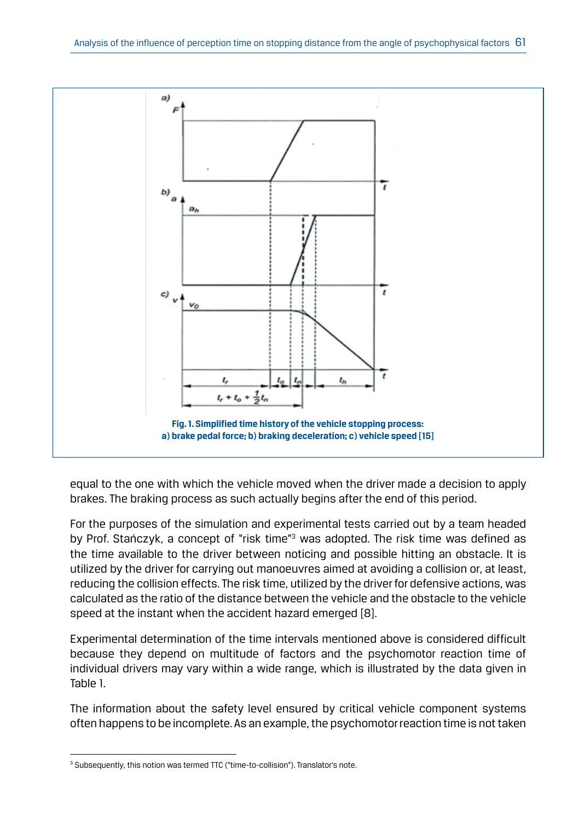

equal to the one with which the vehicle moved when the driver made a decision to apply brakes. The braking process as such actually begins after the end of this period.

For the purposes of the simulation and experimental tests carried out by a team headed by Prof. Stańczyk, a concept of "risk time"<sup>3</sup> was adopted. The risk time was defined as the time available to the driver between noticing and possible hitting an obstacle. It is utilized by the driver for carrying out manoeuvres aimed at avoiding a collision or, at least, reducing the collision effects. The risk time, utilized by the driver for defensive actions, was calculated as the ratio of the distance between the vehicle and the obstacle to the vehicle speed at the instant when the accident hazard emerged [8].

Experimental determination of the time intervals mentioned above is considered difficult because they depend on multitude of factors and the psychomotor reaction time of individual drivers may vary within a wide range, which is illustrated by the data given in Table 1.

The information about the safety level ensured by critical vehicle component systems often happens to be incomplete. As an example, the psychomotor reaction time is not taken

<sup>&</sup>lt;sup>3</sup> Subsequently, this notion was termed TTC ("time-to-collision"). Translator's note.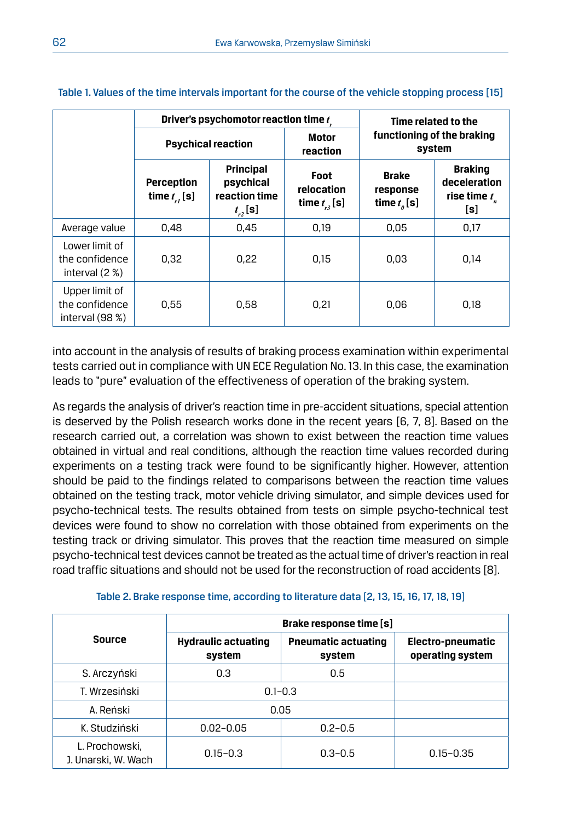|                                                      |                                | Driver's psychomotor reaction time t                           | Time related to the                    |                                              |                                                          |
|------------------------------------------------------|--------------------------------|----------------------------------------------------------------|----------------------------------------|----------------------------------------------|----------------------------------------------------------|
|                                                      | <b>Psychical reaction</b>      |                                                                | <b>Motor</b><br>reaction               | functioning of the braking<br>system         |                                                          |
|                                                      | Perception<br>time $t_{r}$ [s] | <b>Principal</b><br>psychical<br>reaction time<br>$t_{r2}$ [s] | Foot<br>relocation<br>time $t_{n}$ [s] | <b>Brake</b><br>response<br>time $t_{a}$ [s] | <b>Braking</b><br>deceleration<br>rise time $t_n$<br>[s] |
| Average value                                        | 0.48                           | 0.45                                                           | 0.19                                   | 0.05                                         | 0.17                                                     |
| Lower limit of<br>the confidence<br>interval $(2 %)$ | 0.32                           | 0.22                                                           | 0.15                                   | 0.03                                         | 0.14                                                     |
| Upper limit of<br>the confidence<br>interval $(98%)$ | 0.55                           | 0.58                                                           | 0.21                                   | 0.06                                         | 0.18                                                     |

Table 1. Values of the time intervals important for the course of the vehicle stopping process [15]

into account in the analysis of results of braking process examination within experimental tests carried out in compliance with UN ECE Regulation No. 13. In this case, the examination leads to "pure" evaluation of the effectiveness of operation of the braking system.

As regards the analysis of driver's reaction time in pre-accident situations, special attention is deserved by the Polish research works done in the recent years [6, 7, 8]. Based on the research carried out, a correlation was shown to exist between the reaction time values obtained in virtual and real conditions, although the reaction time values recorded during experiments on a testing track were found to be significantly higher. However, attention should be paid to the findings related to comparisons between the reaction time values obtained on the testing track, motor vehicle driving simulator, and simple devices used for psycho-technical tests. The results obtained from tests on simple psycho-technical test devices were found to show no correlation with those obtained from experiments on the testing track or driving simulator. This proves that the reaction time measured on simple psycho-technical test devices cannot be treated as the actual time of driver's reaction in real road traffic situations and should not be used for the reconstruction of road accidents [8].

|                                       | Brake response time [s]              |                                      |                                       |  |  |
|---------------------------------------|--------------------------------------|--------------------------------------|---------------------------------------|--|--|
| Source                                | <b>Hydraulic actuating</b><br>system | <b>Pneumatic actuating</b><br>system | Electro-pneumatic<br>operating system |  |  |
| S. Arczyński                          | 0.3                                  | 0.5                                  |                                       |  |  |
| T. Wrzesiński                         | $0.1 - 0.3$                          |                                      |                                       |  |  |
| A. Reński                             | 0.05                                 |                                      |                                       |  |  |
| K. Studziński                         | $0.02 - 0.05$                        | $0.2 - 0.5$                          |                                       |  |  |
| L. Prochowski.<br>J. Unarski, W. Wach | $0.15 - 0.3$                         | $0.3 - 0.5$                          | $0.15 - 0.35$                         |  |  |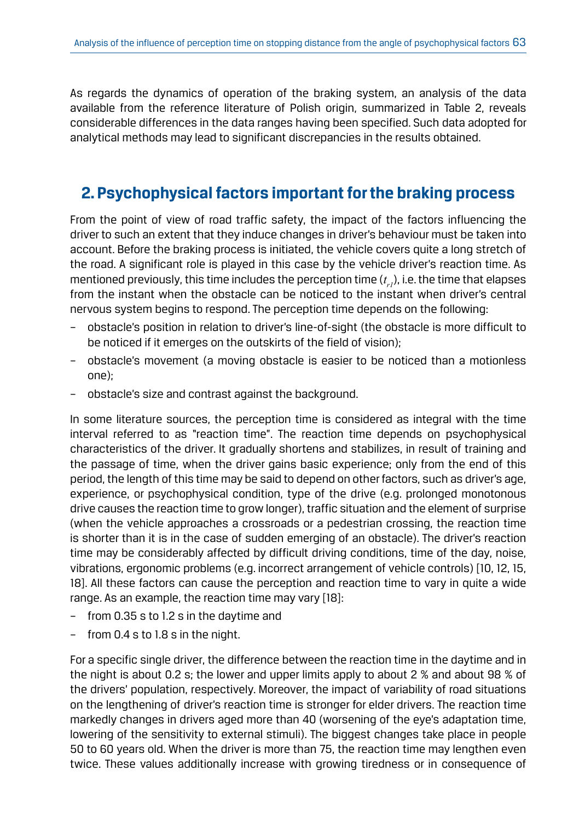As regards the dynamics of operation of the braking system, an analysis of the data available from the reference literature of Polish origin, summarized in Table 2, reveals considerable differences in the data ranges having been specified. Such data adopted for analytical methods may lead to significant discrepancies in the results obtained.

### **2. Psychophysical factors important for the braking process**

From the point of view of road traffic safety, the impact of the factors influencing the driver to such an extent that they induce changes in driver's behaviour must be taken into account. Before the braking process is initiated, the vehicle covers quite a long stretch of the road. A significant role is played in this case by the vehicle driver's reaction time. As mentioned previously, this time includes the perception time  $(t_{_{\!I}}\!)$ , i.e. the time that elapses from the instant when the obstacle can be noticed to the instant when driver's central nervous system begins to respond. The perception time depends on the following:

- obstacle's position in relation to driver's line-of-sight (the obstacle is more difficult to be noticed if it emerges on the outskirts of the field of vision);
- obstacle's movement (a moving obstacle is easier to be noticed than a motionless one);
- obstacle's size and contrast against the background.

In some literature sources, the perception time is considered as integral with the time interval referred to as "reaction time". The reaction time depends on psychophysical characteristics of the driver. It gradually shortens and stabilizes, in result of training and the passage of time, when the driver gains basic experience; only from the end of this period, the length of this time may be said to depend on other factors, such as driver's age, experience, or psychophysical condition, type of the drive (e.g. prolonged monotonous drive causes the reaction time to grow longer), traffic situation and the element of surprise (when the vehicle approaches a crossroads or a pedestrian crossing, the reaction time is shorter than it is in the case of sudden emerging of an obstacle). The driver's reaction time may be considerably affected by difficult driving conditions, time of the day, noise, vibrations, ergonomic problems (e.g. incorrect arrangement of vehicle controls) [10, 12, 15, 18]. All these factors can cause the perception and reaction time to vary in quite a wide range. As an example, the reaction time may vary [18]:

- from 0.35 s to 1.2 s in the daytime and
- from  $0.4$  s to  $1.8$  s in the night.

For a specific single driver, the difference between the reaction time in the daytime and in the night is about 0.2 s; the lower and upper limits apply to about 2 % and about 98 % of the drivers' population, respectively. Moreover, the impact of variability of road situations on the lengthening of driver's reaction time is stronger for elder drivers. The reaction time markedly changes in drivers aged more than 40 (worsening of the eye's adaptation time, lowering of the sensitivity to external stimuli). The biggest changes take place in people 50 to 60 years old. When the driver is more than 75, the reaction time may lengthen even twice. These values additionally increase with growing tiredness or in consequence of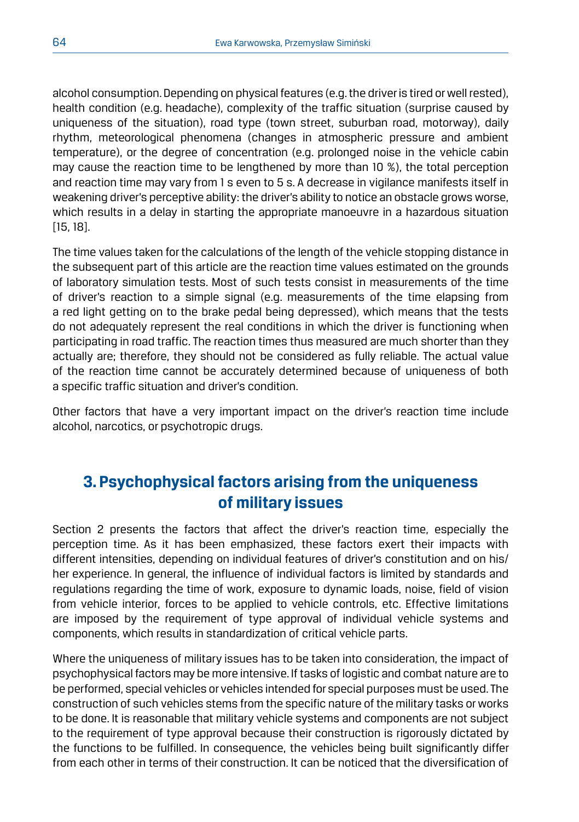alcohol consumption. Depending on physical features (e.g. the driver is tired or well rested), health condition (e.g. headache), complexity of the traffic situation (surprise caused by uniqueness of the situation), road type (town street, suburban road, motorway), daily rhythm, meteorological phenomena (changes in atmospheric pressure and ambient temperature), or the degree of concentration (e.g. prolonged noise in the vehicle cabin may cause the reaction time to be lengthened by more than 10 %), the total perception and reaction time may vary from 1 s even to 5 s. A decrease in vigilance manifests itself in weakening driver's perceptive ability: the driver's ability to notice an obstacle grows worse, which results in a delay in starting the appropriate manoeuvre in a hazardous situation [15, 18].

The time values taken for the calculations of the length of the vehicle stopping distance in the subsequent part of this article are the reaction time values estimated on the grounds of laboratory simulation tests. Most of such tests consist in measurements of the time of driver's reaction to a simple signal (e.g. measurements of the time elapsing from a red light getting on to the brake pedal being depressed), which means that the tests do not adequately represent the real conditions in which the driver is functioning when participating in road traffic. The reaction times thus measured are much shorter than they actually are; therefore, they should not be considered as fully reliable. The actual value of the reaction time cannot be accurately determined because of uniqueness of both a specific traffic situation and driver's condition.

Other factors that have a very important impact on the driver's reaction time include alcohol, narcotics, or psychotropic drugs.

# **3. Psychophysical factors arising from the uniqueness of military issues**

Section 2 presents the factors that affect the driver's reaction time, especially the perception time. As it has been emphasized, these factors exert their impacts with different intensities, depending on individual features of driver's constitution and on his/ her experience. In general, the influence of individual factors is limited by standards and regulations regarding the time of work, exposure to dynamic loads, noise, field of vision from vehicle interior, forces to be applied to vehicle controls, etc. Effective limitations are imposed by the requirement of type approval of individual vehicle systems and components, which results in standardization of critical vehicle parts.

Where the uniqueness of military issues has to be taken into consideration, the impact of psychophysical factors may be more intensive. If tasks of logistic and combat nature are to be performed, special vehicles or vehicles intended for special purposes must be used. The construction of such vehicles stems from the specific nature of the military tasks or works to be done. It is reasonable that military vehicle systems and components are not subject to the requirement of type approval because their construction is rigorously dictated by the functions to be fulfilled. In consequence, the vehicles being built significantly differ from each other in terms of their construction. It can be noticed that the diversification of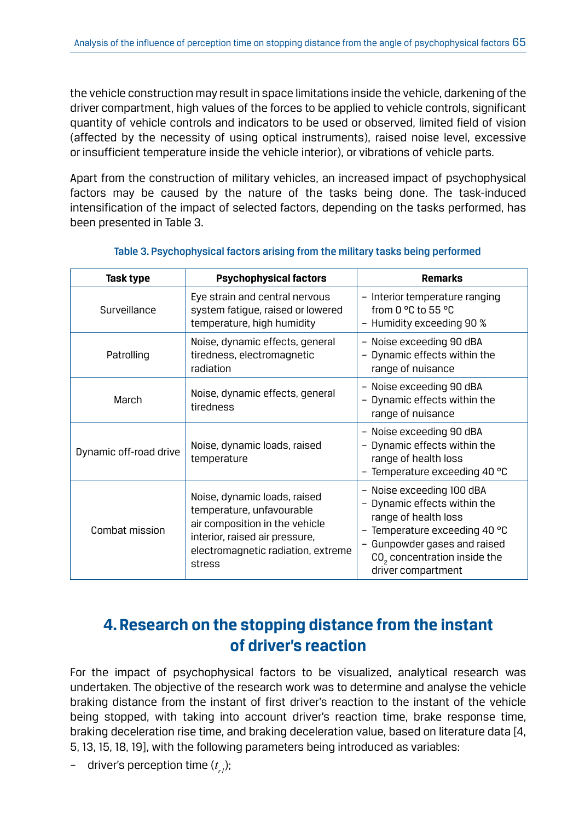the vehicle construction may result in space limitations inside the vehicle, darkening of the driver compartment, high values of the forces to be applied to vehicle controls, significant quantity of vehicle controls and indicators to be used or observed, limited field of vision (affected by the necessity of using optical instruments), raised noise level, excessive or insufficient temperature inside the vehicle interior), or vibrations of vehicle parts.

Apart from the construction of military vehicles, an increased impact of psychophysical factors may be caused by the nature of the tasks being done. The task-induced intensification of the impact of selected factors, depending on the tasks performed, has been presented in Table 3.

| Task type              | <b>Psychophysical factors</b>                                                                                                                                                 | <b>Remarks</b>                                                                                                                                                                                                                 |  |
|------------------------|-------------------------------------------------------------------------------------------------------------------------------------------------------------------------------|--------------------------------------------------------------------------------------------------------------------------------------------------------------------------------------------------------------------------------|--|
| Surveillance           | Eye strain and central nervous<br>system fatique, raised or lowered<br>temperature, high humidity                                                                             | - Interior temperature ranging<br>from 0 $^{\circ}$ C to 55 $^{\circ}$ C<br>- Humidity exceeding 90 %                                                                                                                          |  |
| Patrolling             | Noise, dynamic effects, general<br>tiredness, electromagnetic<br>radiation                                                                                                    | - Noise exceeding 90 dBA<br>- Dynamic effects within the<br>range of nuisance                                                                                                                                                  |  |
| March                  | Noise, dynamic effects, general<br>tiredness                                                                                                                                  | - Noise exceeding 90 dBA<br>- Dynamic effects within the<br>range of nuisance                                                                                                                                                  |  |
| Dynamic off-road drive | Noise, dynamic loads, raised<br>temperature                                                                                                                                   | - Noise exceeding 90 dBA<br>- Dynamic effects within the<br>range of health loss<br>- Temperature exceeding 40 °C                                                                                                              |  |
| Combat mission         | Noise, dynamic loads, raised<br>temperature, unfavourable<br>air composition in the vehicle<br>interior, raised air pressure,<br>electromagnetic radiation, extreme<br>stress | - Noise exceeding 100 dBA<br>- Dynamic effects within the<br>range of health loss<br>- Temperature exceeding 40 $^{\circ}$ C<br>- Gunpowder gases and raised<br>CO <sub>2</sub> concentration inside the<br>driver compartment |  |

#### Table 3. Psychophysical factors arising from the military tasks being performed

# **4. Research on the stopping distance from the instant of driver's reaction**

For the impact of psychophysical factors to be visualized, analytical research was undertaken. The objective of the research work was to determine and analyse the vehicle braking distance from the instant of first driver's reaction to the instant of the vehicle being stopped, with taking into account driver's reaction time, brake response time, braking deceleration rise time, and braking deceleration value, based on literature data [4, 5, 13, 15, 18, 19], with the following parameters being introduced as variables:

– driver's perception time (*t r1*);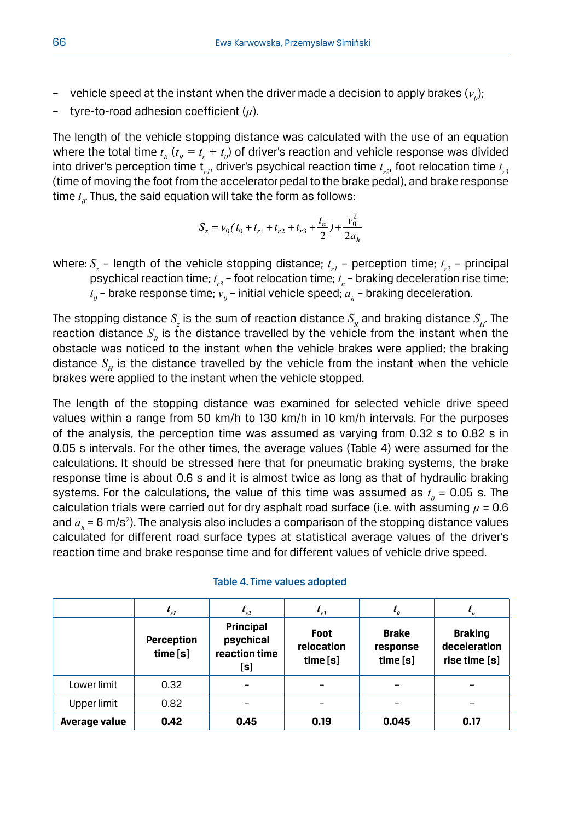- $\;$  vehicle speed at the instant when the driver made a decision to apply brakes  $(v_{\scriptscriptstyle{\theta}})$ ;
- tyre-to-road adhesion coefficient (*μ*).

The length of the vehicle stopping distance was calculated with the use of an equation where the total time  $t_{R}$  ( $t_{R}$  =  $t_{r}$  +  $t_{\theta}$ ) of driver's reaction and vehicle response was divided into driver's perception time  $\mathsf{t}_{_{rI}}$ , driver's psychical reaction time  $\mathsf{t}_{_{r2'}}$ , foot relocation time  $\mathsf{t}_{_{r3}}$ (time of moving the foot from the accelerator pedal to the brake pedal), and brake response time  $t_{\scriptscriptstyle\theta}$ . Thus, the said equation will take the form as follows:

$$
S_z = v_0(t_0 + t_{r1} + t_{r2} + t_{r3} + \frac{t_n}{2}) + \frac{v_0^2}{2a_h}
$$

where:  $S_z$  – length of the vehicle stopping distance;  $t_{r1}$  – perception time;  $t_{r2}$  – principal psychical reaction time;  $t_{r3}$  – foot relocation time;  $t_{\scriptscriptstyle n}$  – braking deceleration rise time;  $t_{\scriptscriptstyle 0}$  – brake response time;  $v_{\scriptscriptstyle 0}$  – initial vehicle speed;  $a_{\scriptscriptstyle h}$  – braking deceleration.

The stopping distance  $S_{\!_Z}$  is the sum of reaction distance  $S_{\!_R}$  and braking distance  $S_{\!_H}$ . The reaction distance  $S<sub>p</sub>$  is the distance travelled by the vehicle from the instant when the obstacle was noticed to the instant when the vehicle brakes were applied; the braking distance  $S<sub>u</sub>$  is the distance travelled by the vehicle from the instant when the vehicle brakes were applied to the instant when the vehicle stopped.

The length of the stopping distance was examined for selected vehicle drive speed values within a range from 50 km/h to 130 km/h in 10 km/h intervals. For the purposes of the analysis, the perception time was assumed as varying from 0.32 s to 0.82 s in 0.05 s intervals. For the other times, the average values (Table 4) were assumed for the calculations. It should be stressed here that for pneumatic braking systems, the brake response time is about 0.6 s and it is almost twice as long as that of hydraulic braking systems. For the calculations, the value of this time was assumed as  $t_{\textit{o}}$  = 0.05 s. The  $\sigma$  calculation trials were carried out for dry asphalt road surface (i.e. with assuming  $\mu$  = 0.6 and  $a_{_{h}}$  = 6 m/s<sup>2</sup>). The analysis also includes a comparison of the stopping distance values calculated for different road surface types at statistical average values of the driver's reaction time and brake response time and for different values of vehicle drive speed.

|               | $t_{r1}$               | $\mathbf{r}_{r2}$                                     | $l_{r3}$                         | $I_{\theta}$                         |                                                 |
|---------------|------------------------|-------------------------------------------------------|----------------------------------|--------------------------------------|-------------------------------------------------|
|               | Perception<br>time [s] | <b>Principal</b><br>psychical<br>reaction time<br>[s] | Foot<br>relocation<br>time $[s]$ | <b>Brake</b><br>response<br>time [s] | <b>Braking</b><br>deceleration<br>rise time [s] |
| Lower limit   | 0.32                   |                                                       |                                  |                                      |                                                 |
| Upper limit   | 0.82                   |                                                       |                                  |                                      |                                                 |
| Average value | 0.42                   | 0.45                                                  | 0.19                             | 0.045                                | 0.17                                            |

#### Table 4. Time values adopted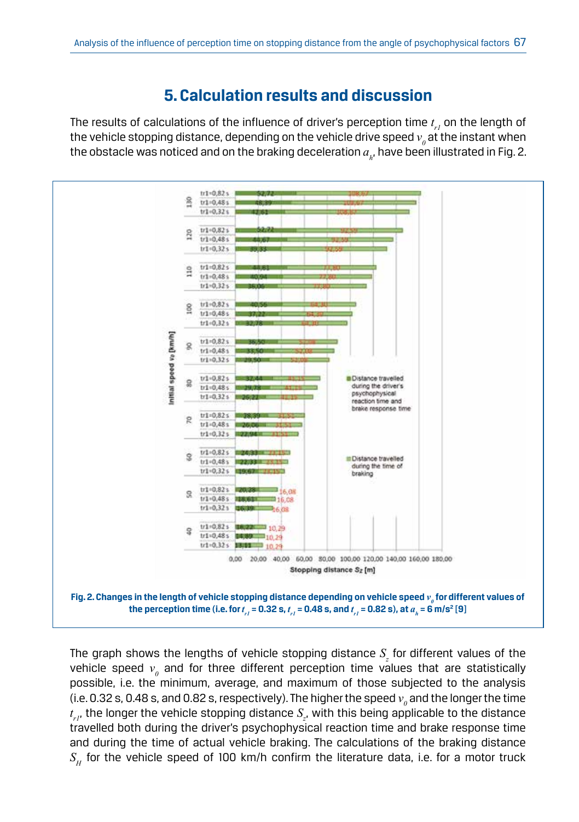# **5. Calculation results and discussion**

The results of calculations of the influence of driver's perception time  $t_{_{\it Pl}}$  on the length of the vehicle stopping distance, depending on the vehicle drive speed  $v_{\scriptscriptstyle{\theta}}$  at the instant when the obstacle was noticed and on the braking deceleration  $a_{_{h^\prime}}$  have been illustrated in Fig. 2.



The graph shows the lengths of vehicle stopping distance  $S_z$  for different values of the vehicle speed  $v_{\scriptscriptstyle{\theta}}$  and for three different perception time values that are statistically possible, i.e. the minimum, average, and maximum of those subjected to the analysis (i.e. 0.32 s, 0.48 s, and 0.82 s, respectively). The higher the speed  $v_{\scriptscriptstyle{\theta}}$  and the longer the time  $t_{rl}$ , the longer the vehicle stopping distance  $S_{z}$ , with this being applicable to the distance travelled both during the driver's psychophysical reaction time and brake response time and during the time of actual vehicle braking. The calculations of the braking distance  $S_H$  for the vehicle speed of 100 km/h confirm the literature data, i.e. for a motor truck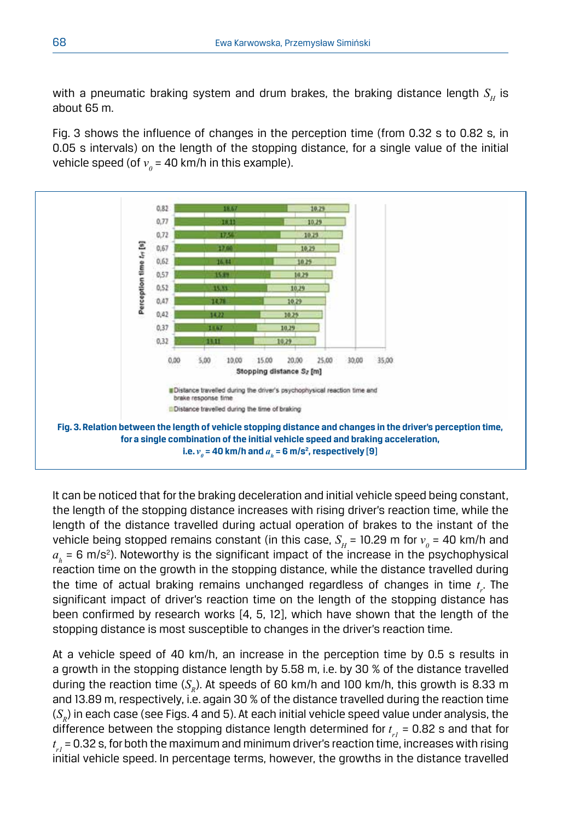with a pneumatic braking system and drum brakes, the braking distance length  $S_{\mu}$  is about 65 m.

Fig. 3 shows the influence of changes in the perception time (from 0.32 s to 0.82 s, in 0.05 s intervals) on the length of the stopping distance, for a single value of the initial vehicle speed (of  $v_{\scriptscriptstyle{\theta}}$  = 40 km/h in this example).



It can be noticed that for the braking deceleration and initial vehicle speed being constant, the length of the stopping distance increases with rising driver's reaction time, while the length of the distance travelled during actual operation of brakes to the instant of the vehicle being stopped remains constant (in this case,  $S_H^+$  = 10.29 m for  $v_{\theta}^+$  = 40 km/h and  $a_{\scriptscriptstyle h}$  = 6 m/s<sup>2</sup>). Noteworthy is the significant impact of the increase in the psychophysical reaction time on the growth in the stopping distance, while the distance travelled during the time of actual braking remains unchanged regardless of changes in time *t r* . The significant impact of driver's reaction time on the length of the stopping distance has been confirmed by research works [4, 5, 12], which have shown that the length of the stopping distance is most susceptible to changes in the driver's reaction time.

At a vehicle speed of 40 km/h, an increase in the perception time by 0.5 s results in a growth in the stopping distance length by 5.58 m, i.e. by 30 % of the distance travelled during the reaction time  $(S_n)$ . At speeds of 60 km/h and 100 km/h, this growth is 8.33 m and 13.89 m, respectively, i.e. again 30 % of the distance travelled during the reaction time  $(S<sub>p</sub>)$  in each case (see Figs. 4 and 5). At each initial vehicle speed value under analysis, the difference between the stopping distance length determined for  $t_{rl}$  = 0.82 s and that for  $t_{rl}$  = 0.32 s, for both the maximum and minimum driver's reaction time, increases with rising initial vehicle speed. In percentage terms, however, the growths in the distance travelled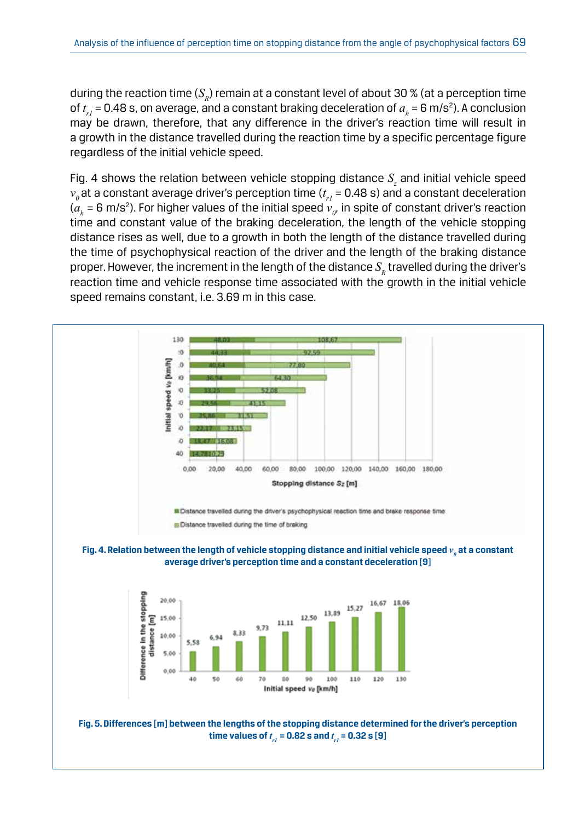during the reaction time  $(S_n)$  remain at a constant level of about 30 % (at a perception time of  $t_{_{rI}}$  = 0.48 s, on average, and a constant braking deceleration of  $a_{_h}$  = 6 m/s<sup>2</sup>). A conclusion may be drawn, therefore, that any difference in the driver's reaction time will result in a growth in the distance travelled during the reaction time by a specific percentage figure regardless of the initial vehicle speed.

Fig. 4 shows the relation between vehicle stopping distance  $S_{\scriptscriptstyle \cal Z}$  and initial vehicle speed  $v_{_\theta}$ at a constant average driver's perception time ( $t_{_{rl}}$  = 0.48 s) and a constant deceleration ( $a_{_{h}}$  = 6 m/s<sup>2</sup>). For higher values of the initial speed  $v_{_{0'}}$  in spite of constant driver's reaction time and constant value of the braking deceleration, the length of the vehicle stopping distance rises as well, due to a growth in both the length of the distance travelled during the time of psychophysical reaction of the driver and the length of the braking distance proper. However, the increment in the length of the distance  $S<sub>p</sub>$  travelled during the driver's reaction time and vehicle response time associated with the growth in the initial vehicle speed remains constant, i.e. 3.69 m in this case.

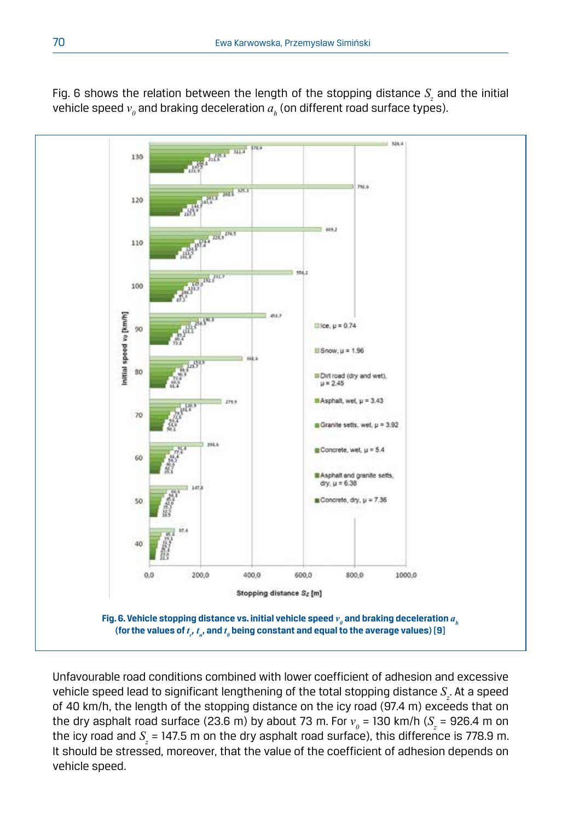

Fig. 6 shows the relation between the length of the stopping distance  $S_z$  and the initial vehicle speed  $v_{\scriptscriptstyle{\theta}}$  and braking deceleration  $a_{\scriptscriptstyle h}$  (on different road surface types).

Unfavourable road conditions combined with lower coefficient of adhesion and excessive vehicle speed lead to significant lengthening of the total stopping distance  $S_{\varepsilon}$ . At a speed of 40 km/h, the length of the stopping distance on the icy road (97.4 m) exceeds that on the dry asphalt road surface (23.6 m) by about 73 m. For  $v_{\scriptscriptstyle{\theta}}$  = 130 km/h ( $S_z$  = 926.4 m on the icy road and  $S_z$  = 147.5 m on the dry asphalt road surface), this difference is 778.9 m. It should be stressed, moreover, that the value of the coefficient of adhesion depends on vehicle speed.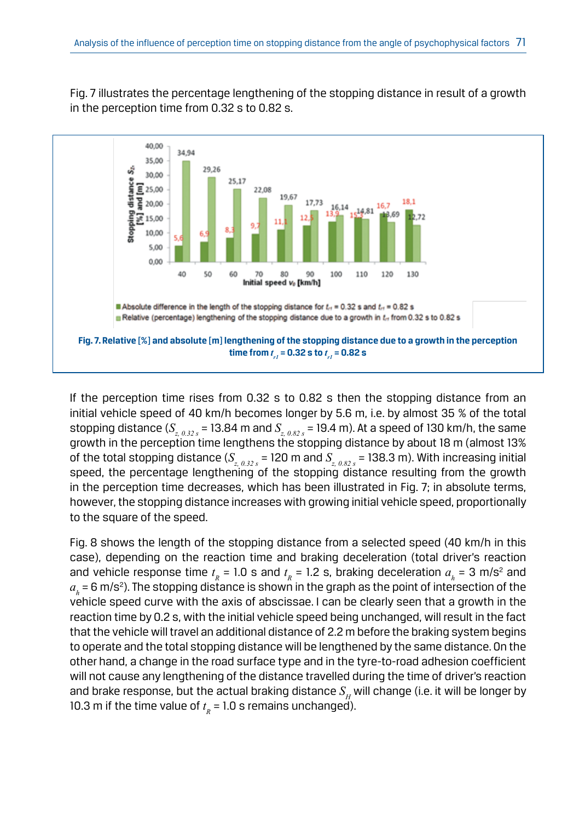Fig. 7 illustrates the percentage lengthening of the stopping distance in result of a growth in the perception time from 0.32 s to 0.82 s.



If the perception time rises from 0.32 s to 0.82 s then the stopping distance from an initial vehicle speed of 40 km/h becomes longer by 5.6 m, i.e. by almost 35 % of the total stopping distance (*Sz, 0.32 s* = 13.84 m and *Sz, 0.82 s* = 19.4 m). At a speed of 130 km/h, the same growth in the perception time lengthens the stopping distance by about 18 m (almost 13% of the total stopping distance  $(S_{z, 0.32 s} = 120 \text{ m}$  and  $S_{z, 0.82 s} = 138.3 \text{ m}$ ). With increasing initial speed, the percentage lengthening of the stopping distance resulting from the growth in the perception time decreases, which has been illustrated in Fig. 7; in absolute terms, however, the stopping distance increases with growing initial vehicle speed, proportionally to the square of the speed.

Fig. 8 shows the length of the stopping distance from a selected speed (40 km/h in this case), depending on the reaction time and braking deceleration (total driver's reaction and vehicle response time  $t_R$  = 1.0 s and  $t_R$  = 1.2 s, braking deceleration  $a_h$  = 3 m/s<sup>2</sup> and  $a_{_{h}}$  = 6 m/s<sup>2</sup>). The stopping distance is shown in the graph as the point of intersection of the vehicle speed curve with the axis of abscissae. I can be clearly seen that a growth in the reaction time by 0.2 s, with the initial vehicle speed being unchanged, will result in the fact that the vehicle will travel an additional distance of 2.2 m before the braking system begins to operate and the total stopping distance will be lengthened by the same distance. On the other hand, a change in the road surface type and in the tyre-to-road adhesion coefficient will not cause any lengthening of the distance travelled during the time of driver's reaction and brake response, but the actual braking distance  $S<sub>µ</sub>$  will change (i.e. it will be longer by 10.3 m if the time value of  $t_R = 1.0$  s remains unchanged).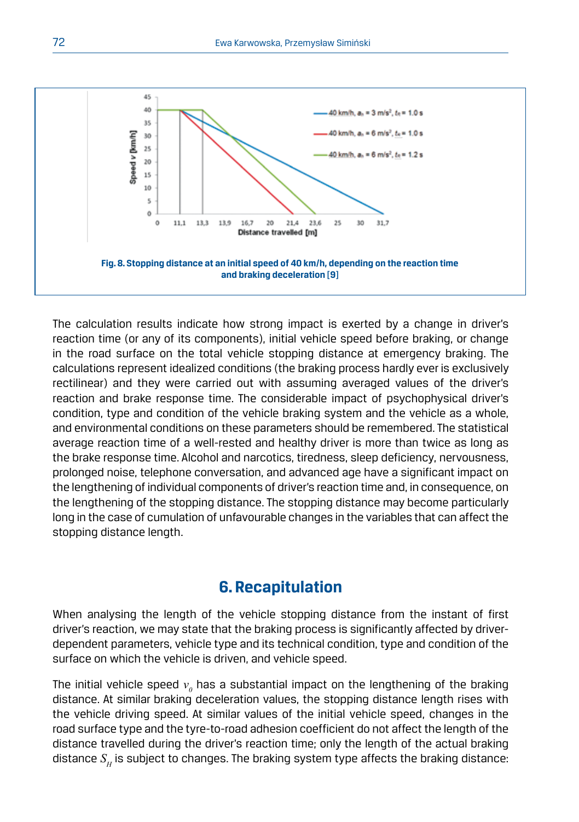

The calculation results indicate how strong impact is exerted by a change in driver's reaction time (or any of its components), initial vehicle speed before braking, or change in the road surface on the total vehicle stopping distance at emergency braking. The calculations represent idealized conditions (the braking process hardly ever is exclusively rectilinear) and they were carried out with assuming averaged values of the driver's reaction and brake response time. The considerable impact of psychophysical driver's condition, type and condition of the vehicle braking system and the vehicle as a whole, and environmental conditions on these parameters should be remembered. The statistical average reaction time of a well-rested and healthy driver is more than twice as long as the brake response time. Alcohol and narcotics, tiredness, sleep deficiency, nervousness, prolonged noise, telephone conversation, and advanced age have a significant impact on the lengthening of individual components of driver's reaction time and, in consequence, on the lengthening of the stopping distance. The stopping distance may become particularly long in the case of cumulation of unfavourable changes in the variables that can affect the stopping distance length.

### **6. Recapitulation**

When analysing the length of the vehicle stopping distance from the instant of first driver's reaction, we may state that the braking process is significantly affected by driverdependent parameters, vehicle type and its technical condition, type and condition of the surface on which the vehicle is driven, and vehicle speed.

The initial vehicle speed  $v_{\scriptscriptstyle{\theta}}$  has a substantial impact on the lengthening of the braking distance. At similar braking deceleration values, the stopping distance length rises with the vehicle driving speed. At similar values of the initial vehicle speed, changes in the road surface type and the tyre-to-road adhesion coefficient do not affect the length of the distance travelled during the driver's reaction time; only the length of the actual braking distance  $S_H$  is subject to changes. The braking system type affects the braking distance: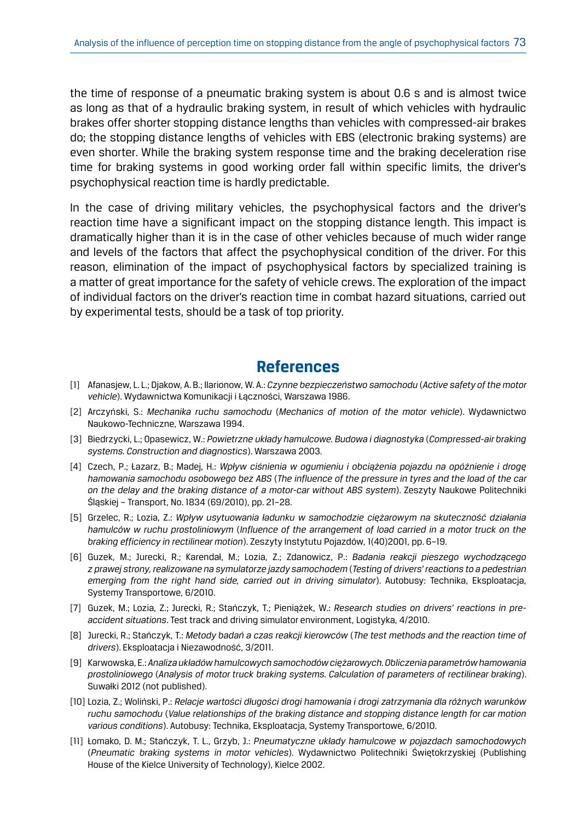the time of response of a pneumatic braking system is about 0.6 s and is almost twice as long as that of a hydraulic braking system, in result of which vehicles with hydraulic brakes offer shorter stopping distance lengths than vehicles with compressed-air brakes do; the stopping distance lengths of vehicles with EBS (electronic braking systems) are even shorter. While the braking system response time and the braking deceleration rise time for braking systems in good working order fall within specific limits, the driver's psychophysical reaction time is hardly predictable.

In the case of driving military vehicles, the psychophysical factors and the driver's reaction time have a significant impact on the stopping distance length. This impact is dramatically higher than it is in the case of other vehicles because of much wider range and levels of the factors that affect the psychophysical condition of the driver. For this reason, elimination of the impact of psychophysical factors by specialized training is a matter of great importance for the safety of vehicle crews. The exploration of the impact of individual factors on the driver's reaction time in combat hazard situations, carried out by experimental tests, should be a task of top priority.

### **References**

- [1] Afanasjew, L. L.; Djakow, A. B.; Ilarionow, W. A.: *Czynne bezpieczeństwo samochodu* (*Active safety of the motor vehicle*). Wydawnictwa Komunikacji i Łączności, Warszawa 1986.
- [2] Arczyński, S.: *Mechanika ruchu samochodu* (*Mechanics of motion of the motor vehicle*). Wydawnictwo Naukowo-Techniczne, Warszawa 1994.
- [3] Biedrzycki, L.; Opasewicz, W.: *Powietrzne układy hamulcowe. Budowa i diagnostyka* (*Compressed-air braking systems. Construction and diagnostics*). Warszawa 2003.
- [4] Czech, P.; Łazarz, B.; Madej, H.: *Wpływ ciśnienia w ogumieniu i obciążenia pojazdu na opóźnienie i drogę hamowania samochodu osobowego bez ABS* (*The influence of the pressure in tyres and the load of the car on the delay and the braking distance of a motor-car without ABS system*). Zeszyty Naukowe Politechniki Śląskiej – Transport, No. 1834 (69/2010), pp. 21–28.
- [5] Grzelec, R.; Lozia, Z.: *Wpływ usytuowania ładunku w samochodzie ciężarowym na skuteczność działania hamulców w ruchu prostoliniowym* (*Influence of the arrangement of load carried in a motor truck on the braking efficiency in rectilinear motion*). Zeszyty Instytutu Pojazdów, 1(40)2001, pp. 6–19.
- [6] Guzek, M.; Jurecki, R.; Karendał, M.; Lozia, Z.; Zdanowicz, P.: *Badania reakcji pieszego wychodzącego z prawej strony, realizowane na symulatorze jazdy samochodem* (*Testing of drivers' reactions to a pedestrian emerging from the right hand side, carried out in driving simulator*). Autobusy: Technika, Eksploatacja, Systemy Transportowe, 6/2010.
- [7] Guzek, M.; Lozia, Z.; Jurecki, R.; Stańczyk, T.; Pieniążek, W.: *Research studies on drivers' reactions in preaccident situations*. Test track and driving simulator environment, Logistyka, 4/2010.
- [8] Jurecki, R.; Stańczyk, T.: *Metody badań a czas reakcji kierowców* (*The test methods and the reaction time of drivers*). Eksploatacja i Niezawodność, 3/2011.
- [9] Karwowska, E.: *Analiza układów hamulcowych samochodów ciężarowych. Obliczenia parametrów hamowania prostoliniowego* (*Analysis of motor truck braking systems. Calculation of parameters of rectilinear braking*). Suwałki 2012 (not published).
- [10] Lozia, Z.; Woliński, P.: *Relacje wartości długości drogi hamowania i drogi zatrzymania dla różnych warunków ruchu samochodu* (*Value relationships of the braking distance and stopping distance length for car motion various conditions*). Autobusy: Technika, Eksploatacja, Systemy Transportowe, 6/2010.
- [11] Łomako, D. M.; Stańczyk, T. L., Grzyb, J.: *Pneumatyczne układy hamulcowe w pojazdach samochodowych*  (*Pneumatic braking systems in motor vehicles*). Wydawnictwo Politechniki Świętokrzyskiej (Publishing House of the Kielce University of Technology), Kielce 2002.